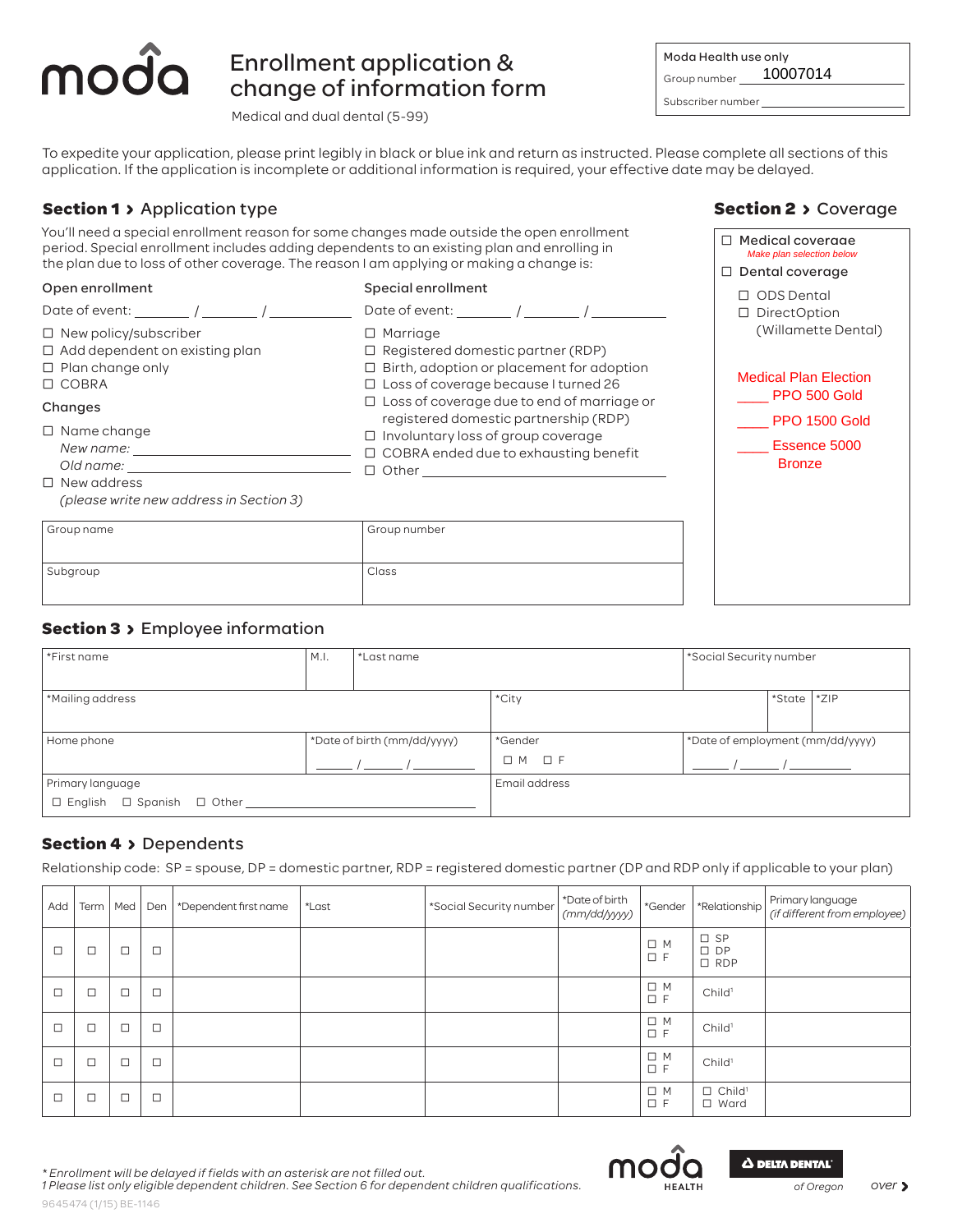# Enrollment application & change of information form

Medical and dual dental (5-99)

| Moda Health use only   | Group number 10007014                           |
|------------------------|-------------------------------------------------|
| Subscriber number      |                                                 |
| e date may be delayed. | lease complete all sections of this             |
|                        | <b>Section 2 &gt; Coverag</b>                   |
|                        | □ Medical coveraae<br>Make plan selection below |

**Section 2 > Coverage** 

To expedite your application, please print legibly in black or blue ink and return as instructed. Please complete all sections of this application. If the application is incomplete or additional information is required, your effective date may be delayed.

## **Section 1 > Application type**

mod

| You'll need a special enrollment reason for some changes made outside the open enrollment<br>period. Special enrollment includes adding dependents to an existing plan and enrolling in<br>the plan due to loss of other coverage. The reason I am applying or making a change is: | Medical coverage<br>Make plan selection below<br>$\Box$ Dental coverage                                                                                                                 |                                                                     |
|------------------------------------------------------------------------------------------------------------------------------------------------------------------------------------------------------------------------------------------------------------------------------------|-----------------------------------------------------------------------------------------------------------------------------------------------------------------------------------------|---------------------------------------------------------------------|
| Open enrollment                                                                                                                                                                                                                                                                    | Special enrollment<br>Date of event: $\sqrt{2\pi}$ / $\sqrt{2\pi}$ / $\sqrt{2\pi}$                                                                                                      | $\Box$ ODS Dental<br>□ DirectOption                                 |
| $\Box$ New policy/subscriber<br>$\Box$ Add dependent on existing plan<br>$\Box$ Plan change only<br>$\Box$ COBRA                                                                                                                                                                   | $\Box$ Marriage<br>$\Box$ Registered domestic partner (RDP)<br>$\Box$ Birth, adoption or placement for adoption<br>□ Loss of coverage because I turned 26                               | (Willamette Dental)<br><b>Medical Plan Election</b><br>PPO 500 Gold |
| Changes<br>$\Box$ Name change<br>$\Box$ New address<br>(please write new address in Section 3)                                                                                                                                                                                     | $\Box$ Loss of coverage due to end of marriage or<br>registered domestic partnership (RDP)<br>$\Box$ Involuntary loss of group coverage<br>$\Box$ COBRA ended due to exhausting benefit | <b>PPO 1500 Gold</b><br>Essence 5000<br><b>Bronze</b>               |
| Group name                                                                                                                                                                                                                                                                         | Group number                                                                                                                                                                            |                                                                     |
| Subgroup                                                                                                                                                                                                                                                                           | Class                                                                                                                                                                                   |                                                                     |

### **Section 3 > Employee information**

| *First name                                            | M.I.                        | *Last name | *Social Security number |                                  |        |        |
|--------------------------------------------------------|-----------------------------|------------|-------------------------|----------------------------------|--------|--------|
|                                                        |                             |            |                         |                                  |        |        |
| *Mailing address                                       |                             |            | *City                   |                                  | *State | $*ZIP$ |
|                                                        |                             |            |                         |                                  |        |        |
| Home phone                                             | *Date of birth (mm/dd/yyyy) |            | *Gender                 | *Date of employment (mm/dd/yyyy) |        |        |
|                                                        |                             |            | $\square$ F<br>$\Box$ M |                                  |        |        |
| Primary language                                       |                             |            | Email address           |                                  |        |        |
| $\square$ English<br>$\square$ Spanish<br>$\Box$ Other |                             |            |                         |                                  |        |        |

### **Section 4 > Dependents**

Relationship code: SP = spouse, DP = domestic partner, RDP = registered domestic partner (DP and RDP only if applicable to your plan)

| Add    | Term   | Med    | Den    | *Dependent first name | *Last | *Social Security number | *Date of birth<br>(mm/dd/yyyy) | *Gender                    | *Relationship                              | Primary language<br>(if different from employee) |
|--------|--------|--------|--------|-----------------------|-------|-------------------------|--------------------------------|----------------------------|--------------------------------------------|--------------------------------------------------|
| $\Box$ | $\Box$ | $\Box$ | $\Box$ |                       |       |                         |                                | $\Box$<br>M<br>$\Box$<br>E | $\square$ SP<br>$\square$ DP<br>$\Box$ RDP |                                                  |
| $\Box$ | $\Box$ | $\Box$ | $\Box$ |                       |       |                         |                                | $\Box$<br>M<br>$\square$ F | Child <sup>1</sup>                         |                                                  |
| $\Box$ | $\Box$ | $\Box$ | $\Box$ |                       |       |                         |                                | $\Box$<br>M<br>$\square$ F | Child <sup>1</sup>                         |                                                  |
| $\Box$ | $\Box$ | $\Box$ | $\Box$ |                       |       |                         |                                | $\Box$<br>M<br>$\Box$<br>E | Child <sup>1</sup>                         |                                                  |
|        | $\Box$ | $\Box$ | $\Box$ |                       |       |                         |                                | □<br>M<br>□<br>-F          | $\Box$ Child <sup>1</sup><br>$\Box$ Ward   |                                                  |





*\* Enrollment will be delayed if fields with an asterisk are not filled out.*

*1 Please list only eligible dependent children. See Section 6 for dependent children qualifications.*

9645474 (1/15) BE-1146